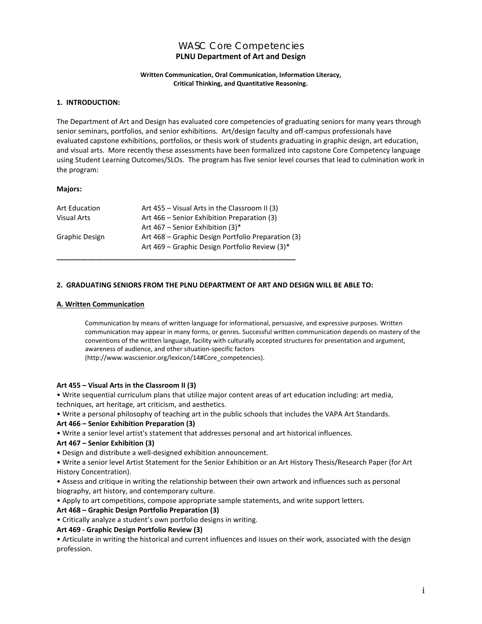# WASC Core Competencies **PLNU Department of Art and Design**

#### **Written Communication, Oral Communication, Information Literacy, Critical Thinking, and Quantitative Reasoning.**

# **1. INTRODUCTION:**

The Department of Art and Design has evaluated core competencies of graduating seniors for many years through senior seminars, portfolios, and senior exhibitions. Art/design faculty and off-campus professionals have evaluated capstone exhibitions, portfolios, or thesis work of students graduating in graphic design, art education, and visual arts. More recently these assessments have been formalized into capstone Core Competency language using Student Learning Outcomes/SLOs. The program has five senior level courses that lead to culmination work in the program:

# **Majors:**

| Art Education         | Art 455 – Visual Arts in the Classroom II (3)      |  |
|-----------------------|----------------------------------------------------|--|
| <b>Visual Arts</b>    | Art 466 - Senior Exhibition Preparation (3)        |  |
|                       | Art 467 – Senior Exhibition $(3)^*$                |  |
| <b>Graphic Design</b> | Art 468 – Graphic Design Portfolio Preparation (3) |  |
|                       | Art 469 - Graphic Design Portfolio Review (3)*     |  |
|                       |                                                    |  |

# **2. GRADUATING SENIORS FROM THE PLNU DEPARTMENT OF ART AND DESIGN WILL BE ABLE TO:**

# **A. Written Communication**

Communication by means of written language for informational, persuasive, and expressive purposes. Written communication may appear in many forms, or genres. Successful written communication depends on mastery of the conventions of the written language, facility with culturally accepted structures for presentation and argument, awareness of audience, and other situation-specific factors

(http://www.wascsenior.org/lexicon/14#Core\_competencies).

#### **Art 455 – Visual Arts in the Classroom II (3)**

• Write sequential curriculum plans that utilize major content areas of art education including: art media, techniques, art heritage, art criticism, and aesthetics.

• Write a personal philosophy of teaching art in the public schools that includes the VAPA Art Standards.

#### **Art 466 – Senior Exhibition Preparation (3)**

• Write a senior level artist's statement that addresses personal and art historical influences.

#### **Art 467 – Senior Exhibition (3)**

• Design and distribute a well-designed exhibition announcement.

• Write a senior level Artist Statement for the Senior Exhibition or an Art History Thesis/Research Paper (for Art History Concentration).

• Assess and critique in writing the relationship between their own artwork and influences such as personal biography, art history, and contemporary culture.

• Apply to art competitions, compose appropriate sample statements, and write support letters.

# **Art 468 – Graphic Design Portfolio Preparation (3)**

• Critically analyze a student's own portfolio designs in writing.

# **Art 469 - Graphic Design Portfolio Review (3)**

• Articulate in writing the historical and current influences and issues on their work, associated with the design profession.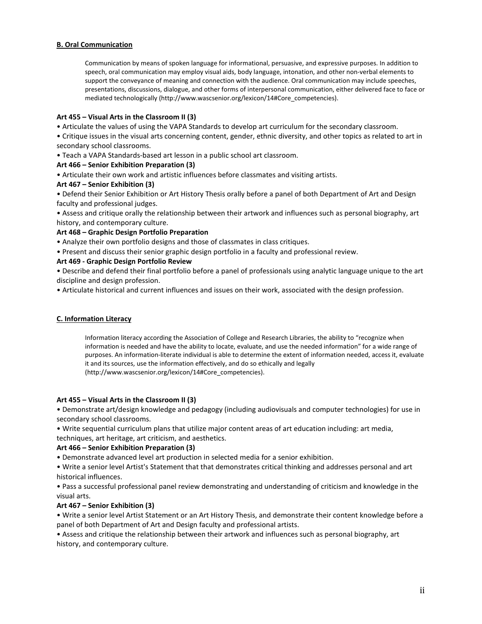# **B. Oral Communication**

Communication by means of spoken language for informational, persuasive, and expressive purposes. In addition to speech, oral communication may employ visual aids, body language, intonation, and other non-verbal elements to support the conveyance of meaning and connection with the audience. Oral communication may include speeches, presentations, discussions, dialogue, and other forms of interpersonal communication, either delivered face to face or mediated technologically [\(http://www.wascsenior.org/lexicon/14#Core\\_competencies\).](http://www.wascsenior.org/lexicon/14#Core_competencies)

# **Art 455 – Visual Arts in the Classroom II (3)**

• Articulate the values of using the VAPA Standards to develop art curriculum for the secondary classroom.

• Critique issues in the visual arts concerning content, gender, ethnic diversity, and other topics as related to art in secondary school classrooms.

• Teach a VAPA Standards-based art lesson in a public school art classroom.

# **Art 466 – Senior Exhibition Preparation (3)**

• Articulate their own work and artistic influences before classmates and visiting artists.

# **Art 467 – Senior Exhibition (3)**

• Defend their Senior Exhibition or Art History Thesis orally before a panel of both Department of Art and Design faculty and professional judges.

• Assess and critique orally the relationship between their artwork and influences such as personal biography, art history, and contemporary culture.

#### **Art 468 – Graphic Design Portfolio Preparation**

• Analyze their own portfolio designs and those of classmates in class critiques.

• Present and discuss their senior graphic design portfolio in a faculty and professional review.

# **Art 469 - Graphic Design Portfolio Review**

• Describe and defend their final portfolio before a panel of professionals using analytic language unique to the art discipline and design profession.

• Articulate historical and current influences and issues on their work, associated with the design profession.

#### **C. Information Literacy**

Information literacy according the Association of College and Research Libraries, the ability to "recognize when information is needed and have the ability to locate, evaluate, and use the needed information" for a wide range of purposes. An information-literate individual is able to determine the extent of information needed, access it, evaluate it and its sources, use the information effectively, and do so ethically and legally (http://www.wascsenior.org/lexicon/14#Core\_competencies).

#### **Art 455 – Visual Arts in the Classroom II (3)**

• Demonstrate art/design knowledge and pedagogy (including audiovisuals and computer technologies) for use in secondary school classrooms.

• Write sequential curriculum plans that utilize major content areas of art education including: art media, techniques, art heritage, art criticism, and aesthetics.

#### **Art 466 – Senior Exhibition Preparation (3)**

• Demonstrate advanced level art production in selected media for a senior exhibition.

• Write a senior level Artist's Statement that that demonstrates critical thinking and addresses personal and art historical influences.

• Pass a successful professional panel review demonstrating and understanding of criticism and knowledge in the visual arts.

#### **Art 467 – Senior Exhibition (3)**

• Write a senior level Artist Statement or an Art History Thesis, and demonstrate their content knowledge before a panel of both Department of Art and Design faculty and professional artists.

• Assess and critique the relationship between their artwork and influences such as personal biography, art history, and contemporary culture.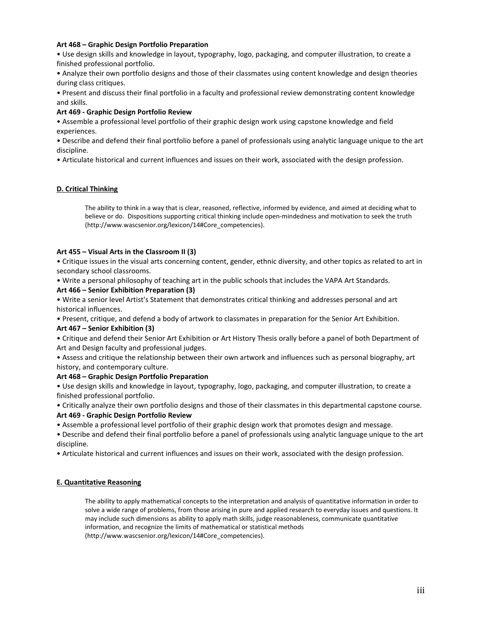# **Art 468 – Graphic Design Portfolio Preparation**

• Use design skills and knowledge in layout, typography, logo, packaging, and computer illustration, to create a finished professional portfolio.

• Analyze their own portfolio designs and those of their classmates using content knowledge and design theories during class critiques.

• Present and discuss their final portfolio in a faculty and professional review demonstrating content knowledge and skills.

#### **Art 469 - Graphic Design Portfolio Review**

• Assemble a professional level portfolio of their graphic design work using capstone knowledge and field experiences.

• Describe and defend their final portfolio before a panel of professionals using analytic language unique to the art discipline.

• Articulate historical and current influences and issues on their work, associated with the design profession.

# **D. Critical Thinking**

The ability to think in a way that is clear, reasoned, reflective, informed by evidence, and aimed at deciding what to believe or do. Dispositions supporting critical thinking include open-mindedness and motivation to seek the truth (http://www.wascsenior.org/lexicon/14#Core\_competencies).

# **Art 455 – Visual Arts in the Classroom II (3)**

• Critique issues in the visual arts concerning content, gender, ethnic diversity, and other topics as related to art in secondary school classrooms.

• Write a personal philosophy of teaching art in the public schools that includes the VAPA Art Standards.

#### **Art 466 – Senior Exhibition Preparation (3)**

• Write a senior level Artist's Statement that demonstrates critical thinking and addresses personal and art historical influences.

• Present, critique, and defend a body of artwork to classmates in preparation for the Senior Art Exhibition.

#### **Art 467 – Senior Exhibition (3)**

• Critique and defend their Senior Art Exhibition or Art History Thesis orally before a panel of both Department of Art and Design faculty and professional judges.

• Assess and critique the relationship between their own artwork and influences such as personal biography, art history, and contemporary culture.

# **Art 468 – Graphic Design Portfolio Preparation**

• Use design skills and knowledge in layout, typography, logo, packaging, and computer illustration, to create a finished professional portfolio.

• Critically analyze their own portfolio designs and those of their classmates in this departmental capstone course. **Art 469 - Graphic Design Portfolio Review** 

• Assemble a professional level portfolio of their graphic design work that promotes design and message.

• Describe and defend their final portfolio before a panel of professionals using analytic language unique to the art discipline.

• Articulate historical and current influences and issues on their work, associated with the design profession.

# **E. Quantitative Reasoning**

The ability to apply mathematical concepts to the interpretation and analysis of quantitative information in order to solve a wide range of problems, from those arising in pure and applied research to everyday issues and questions. It may include such dimensions as ability to apply math skills, judge reasonableness, communicate quantitative information, and recognize the limits of mathematical or statistical methods (http://www.wascsenior.org/lexicon/14#Core\_competencies).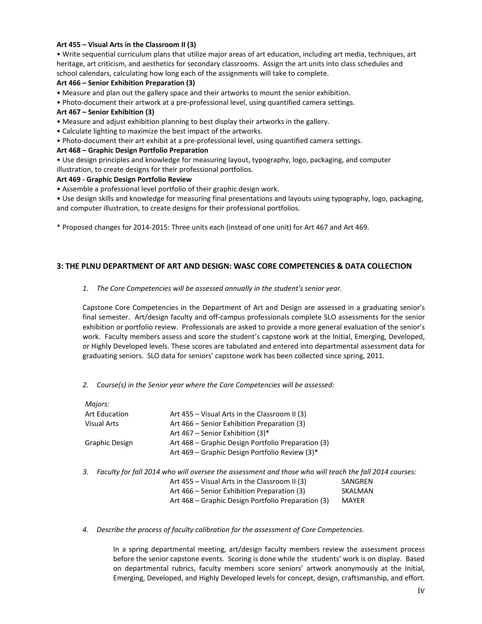# **Art 455 – Visual Arts in the Classroom II (3)**

• Write sequential curriculum plans that utilize major areas of art education, including art media, techniques, art heritage, art criticism, and aesthetics for secondary classrooms. Assign the art units into class schedules and school calendars, calculating how long each of the assignments will take to complete.

#### **Art 466 – Senior Exhibition Preparation (3)**

- Measure and plan out the gallery space and their artworks to mount the senior exhibition.
- Photo-document their artwork at a pre-professional level, using quantified camera settings.

# **Art 467 – Senior Exhibition (3)**

- Measure and adjust exhibition planning to best display their artworks in the gallery.
- Calculate lighting to maximize the best impact of the artworks.
- Photo-document their art exhibit at a pre-professional level, using quantified camera settings.

#### **Art 468 – Graphic Design Portfolio Preparation**

• Use design principles and knowledge for measuring layout, typography, logo, packaging, and computer illustration, to create designs for their professional portfolios.

# **Art 469 - Graphic Design Portfolio Review**

• Assemble a professional level portfolio of their graphic design work.

• Use design skills and knowledge for measuring final presentations and layouts using typography, logo, packaging, and computer illustration, to create designs for their professional portfolios.

\* Proposed changes for 2014-2015: Three units each (instead of one unit) for Art 467 and Art 469.

# **3: THE PLNU DEPARTMENT OF ART AND DESIGN: WASC CORE COMPETENCIES & DATA COLLECTION**

# *1. The Core Competencies will be assessed annually in the student's senior year.*

Capstone Core Competencies in the Department of Art and Design are assessed in a graduating senior's final semester. Art/design faculty and off-campus professionals complete SLO assessments for the senior exhibition or portfolio review. Professionals are asked to provide a more general evaluation of the senior's work. Faculty members assess and score the student's capstone work at the Initial, Emerging, Developed, or Highly Developed levels. These scores are tabulated and entered into departmental assessment data for graduating seniors. SLO data for seniors' capstone work has been collected since spring, 2011.

# *2. Course(s) in the Senior year where the Core Competencies will be assessed:*

| Majors:              |                                                                                                       |              |
|----------------------|-------------------------------------------------------------------------------------------------------|--------------|
| <b>Art Education</b> | Art 455 – Visual Arts in the Classroom II (3)                                                         |              |
| <b>Visual Arts</b>   | Art 466 – Senior Exhibition Preparation (3)                                                           |              |
|                      | Art 467 – Senior Exhibition (3)*                                                                      |              |
| Graphic Design       | Art 468 – Graphic Design Portfolio Preparation (3)                                                    |              |
|                      | Art 469 – Graphic Design Portfolio Review (3)*                                                        |              |
| 3.                   | Faculty for fall 2014 who will oversee the assessment and those who will teach the fall 2014 courses: |              |
|                      | Art 455 – Visual Arts in the Classroom II (3)                                                         | SANGREN      |
|                      | Art 466 – Senior Exhibition Preparation (3)                                                           | SKALMAN      |
|                      | Art 468 - Graphic Design Portfolio Preparation (3)                                                    | <b>MAYER</b> |

#### *4. Describe the process of faculty calibration for the assessment of Core Competencies.*

In a spring departmental meeting, art/design faculty members review the assessment process before the senior capstone events. Scoring is done while the students' work is on display. Based on departmental rubrics, faculty members score seniors' artwork anonymously at the Initial, Emerging, Developed, and Highly Developed levels for concept, design, craftsmanship, and effort.